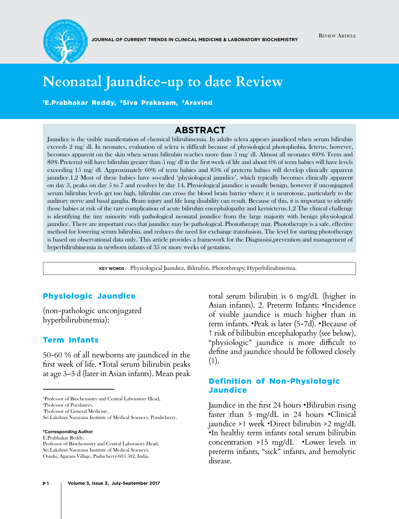

# **Neonatal Jaundice-up to date Review**

'E.Prabhakar Reddy, <sup>2</sup>Siva Prakasam, <sup>3</sup>Aravind

## **Abstract**

Jaundice is the visible manifestation of chemical bilirubinemia. In adults sclera appears jaundiced when serum bilirubin exceeds 2 mg/ dl. In neonates, evaluation of sclera is difficult because of physiological photophobia. Icterus, however, becomes apparent on the skin when serum bilirubin reaches more than 5 mg/ dl. Almost all neonates (60% Term and 80% Preterm) will have bilirubin greater than 5 mg/ dl in the first week of life and about 6% of term babies will have levels exceeding 15 mg/ dl. Approximately 60% of term babies and 85% of preterm babies will develop clinically apparent jaundice.1,2 Most of these babies have so-called 'physiological jaundice', which typically becomes clinically apparent on day 3, peaks on day 5 to 7 and resolves by day 14. Physiological jaundice is usually benign, however if unconjugated serum bilirubin levels get too high, bilirubin can cross the blood brain barrier where it is neurotoxic, particularly to the auditory nerve and basal ganglia. Brain injury and life long disability can result. Because of this, it is important to identify those babies at risk of the rare complication of acute bilirubin encephalopathy and kernicterus.1,2 The clinical challenge is identifying the tiny minority with pathological neonatal jaundice from the large majority with benign physiological jaundice. There are important cues that jaundice may be pathological. Phototherapy mat. Phototherapy is a safe, effective method for lowering serum bilirubin, and reduces the need for exchange transfusion. The level for starting phototherapy is based on observational data only. This article provides a framework for the Diagnosisi,prevention and management of hyperbilirubinemia in newborn infants of 35 or more weeks of gestation.

**Key words :** Physiological Jaundice, Bilirubin, Phototherapy, Hyperbilirubinemia.

### Physiologic Jaundice

(non-pathologic unconjugated hyperbilirubinemia):

#### Term Infants

50-60 % of all newborns are jaundiced in the first week of life. •Total serum bilirubin peaks at age 3–5 d (later in Asian infants). Mean peak

1 Professor of Biochemistry and Central Laboratory Head,

3 Professor of General Medicine,

**\*Corresponding Author**

E.Prabhakar Reddy,

total serum bilirubin is 6 mg/dL (higher in Asian infants). 2. Preterm Infants: •Incidence of visible jaundice is much higher than in term infants. •Peak is later (5-7d). •Because of ↑ risk of bilibubin encephalopathy (see below), "physiologic" jaundice is more difficult to define and jaundice should be followed closely (1).

### Definition of Non-Physiologic Jaundice

Jaundice in the first 24 hours •Bilirubin rising faster than 5 mg/dL in 24 hours •Clinical jaundice >1 week •Direct bilirubin >2 mg/dL •In healthy term infants total serum bilirubin concentration >15 mg/dL •Lower levels in preterm infants, "sick" infants, and hemolytic disease.

<sup>2</sup> Professor of Poediatres,

Sri Lakshmi Narayana Institute of Medical Sciences, Pondicherry.

Professor of Biochemistry and Central Laboratory Head, Sri Lakshmi Narayana Institute of Medical Sciences, Osudu, Agaram Village, Puducherry-605 502, India.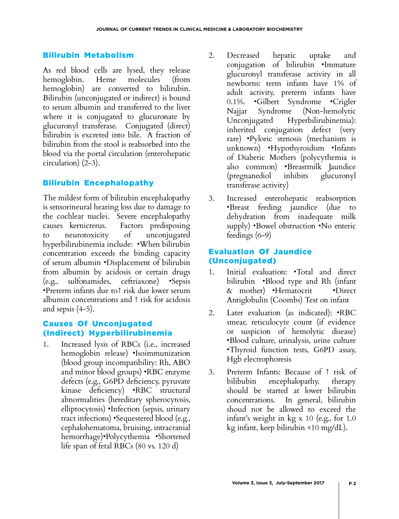## Bilirubin Metabolism

As red blood cells are lysed, they release hemoglobin. Heme molecules (from hemoglobin) are converted to bilirubin. Bilirubin (unconjugated or indirect) is bound to serum albumin and transferred to the liver where it is conjugated to glucuronate by glucuronyl transferase. Conjugated (direct) bilirubin is excreted into bile. A fraction of bilirubin from the stool is reabsorbed into the blood via the portal circulation (enterohepatic circulation) (2-3).

# Bilirubin Encephalopathy

The mildest form of bilirubin encephalopathy is sensorineural hearing loss due to damage to the cochlear nuclei. Severe encephalopathy causes kernicterus. Factors predisposing to neurotoxicity of unconjugated hyperbilirubinemia include: •When bilirubin concentration exceeds the binding capacity of serum albumin •Displacement of bilirubin from albumin by acidosis or certain drugs (e.g., sulfonamides, ceftriaxone) •Sepsis •Preterm infants due to↑ risk due lower serum albumin concentrations and ↑ risk for acidosis and sepsis (4-5).

## Causes Of Unconjugated (Indirect) Hyperbilirubinemia

1. Increased lysis of RBCs (i.e., increased hemoglobin release) •Isoimmunization (blood group incompatibility: Rh, ABO and minor blood groups) •RBC enzyme defects (e.g., G6PD deficiency, pyruvate kinase deficiency) •RBC structural abnormalities (hereditary spherocytosis, elliptocytosis) •Infection (sepsis, urinary tract infections) •Sequestered blood (e.g., cephalohematoma, bruising, intracranial hemorrhage)•Polycythemia •Shortened life span of fetal RBCs (80 vs. 120 d)

- 2. Decreased hepatic uptake and conjugation of bilirubin •Immature glucuronyl transferase activity in all newborns: term infants have 1% of adult activity, preterm infants have 0.1%. •Gilbert Syndrome •Crigler Najjar Syndrome (Non-hemolytic Unconjugated Hyperbilirubinemia): inherited conjugation defect (very rare) •Pyloric stenosis (mechanism is unknown) •Hypothyroidism •Infants of Diabetic Mothers (polycythemia is also common) •Breastmilk Jaundice (pregnanediol inhibits glucuronyl transferase activity)
- 3. Increased enterohepatic reabsorption •Breast feeding jaundice (due to dehydration from inadequate milk supply) •Bowel obstruction •No enteric feedings (6-9)

# Evaluation Of Jaundice (Unconjugated)

- 1. Initial evaluation: •Total and direct bilirubin •Blood type and Rh (infant & mother) •Hematocrit •Direct Antiglobulin (Coombs) Test on infant
- 2. Later evaluation (as indicated): •RBC smear, reticulocyte count (if evidence or suspicion of hemolytic disease) •Blood culture, urinalysis, urine culture •Thyroid function tests, G6PD assay, Hgb electrophoresis
- 3. Preterm Infants: Because of ↑ risk of bilibubin encephalopathy, therapy should be started at lower bilirubin concentrations. In general, bilirubin shoud not be allowed to exceed the infant's weight in kg x 10 (e.g., for 1.0 kg infant, keep bilirubin <10 mg/dL).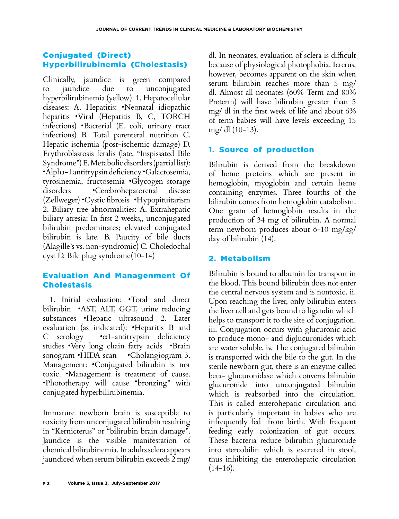# Conjugated (Direct) Hyperbilirubinemia (Cholestasis)

Clinically, jaundice is green compared to jaundice due to unconjugated hyperbilirubinemia (yellow). 1. Hepatocellular diseases: A. Hepatitis: •Neonatal idiopathic hepatitis •Viral (Hepatitis B, C, TORCH infections) •Bacterial (E. coli, urinary tract infections) B. Total parenteral nutrition C. Hepatic ischemia (post-ischemic damage) D. Erythroblastosis fetalis (late, "Inspissated Bile Syndrome") E. Metabolic disorders (partial list): •Alpha-1 antitrypsin deficiency •Galactosemia, tyrosinemia, fructosemia •Glycogen storage disorders •Cerebrohepatorenal disease (Zellweger) •Cystic fibrosis •Hypopituitarism 2. Biliary tree abnormalities: A. Extrahepatic biliary atresia: In first 2 weeks,, unconjugated bilirubin predominates; elevated conjugated bilirubin is late. B. Paucity of bile ducts (Alagille's vs. non-syndromic) C. Choledochal cyst D. Bile plug syndrome(10-14)

# Evaluation And Managenment Of **Cholestasis**

 1. Initial evaluation: •Total and direct bilirubin •AST, ALT, GGT, urine reducing substances •Hepatic ultrasound 2. Later evaluation (as indicated): •Hepatitis B and C serology •α1-antitrypsin deficiency studies •Very long chain fatty acids •Brain sonogram •HIDA scan •Cholangiogram 3. Management: •Conjugated bilirubin is not toxic. •Management is treatment of cause. •Phototherapy will cause "bronzing" with conjugated hyperbilirubinemia.

Immature newborn brain is susceptible to toxicity from unconjugated bilirubin resulting in "Kernicterus" or "bilirubin brain damage". Jaundice is the visible manifestation of chemical bilirubinemia. In adults sclera appears jaundiced when serum bilirubin exceeds 2 mg/

dl. In neonates, evaluation of sclera is difficult because of physiological photophobia. Icterus, however, becomes apparent on the skin when serum bilirubin reaches more than 5 mg/ dl. Almost all neonates (60% Term and 80% Preterm) will have bilirubin greater than 5 mg/ dl in the first week of life and about 6% of term babies will have levels exceeding 15 mg/ dl (10-13).

# 1. Source of production

Bilirubin is derived from the breakdown of heme proteins which are present in hemoglobin, myoglobin and certain heme containing enzymes. Three fourths of the bilirubin comes from hemoglobin catabolism. One gram of hemoglobin results in the production of 34 mg of bilirubin. A normal term newborn produces about 6-10 mg/kg/ day of bilirubin (14).

# 2. Metabolism

Bilirubin is bound to albumin for transport in the blood. This bound bilirubin does not enter the central nervous system and is nontoxic. ii. Upon reaching the liver, only bilirubin enters the liver cell and gets bound to ligandin which helps to transport it to the site of conjugation. iii. Conjugation occurs with glucuronic acid to produce mono- and diglucuronides which are water soluble. iv. The conjugated bilirubin is transported with the bile to the gut. In the sterile newborn gut, there is an enzyme called beta- glucuronidase which converts bilirubin glucuronide into unconjugated bilirubin which is reabsorbed into the circulation. This is called enterohepatic circulation and is particularly important in babies who are infrequently fed from birth. With frequent feeding early colonization of gut occurs. These bacteria reduce bilirubin glucuronide into stercobilin which is excreted in stool, thus inhibiting the enterohepatic circulation  $(14-16)$ .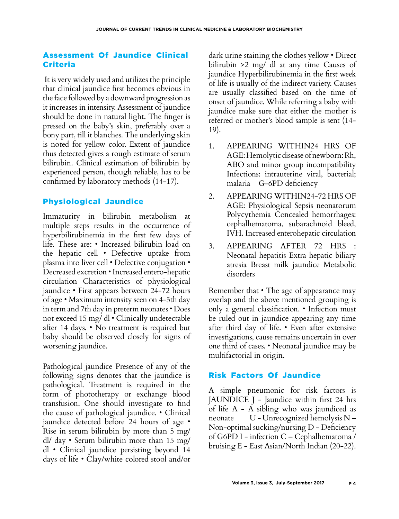## Assessment Of Jaundice Clinical Criteria

 It is very widely used and utilizes the principle that clinical jaundice first becomes obvious in the face followed by a downward progression as it increases in intensity. Assessment of jaundice should be done in natural light. The finger is pressed on the baby's skin, preferably over a bony part, till it blanches. The underlying skin is noted for yellow color. Extent of jaundice thus detected gives a rough estimate of serum bilirubin. Clinical estimation of bilirubin by experienced person, though reliable, has to be confirmed by laboratory methods (14-17).

# Physiological Jaundice

Immaturity in bilirubin metabolism at multiple steps results in the occurrence of hyperbilirubinemia in the first few days of life. These are: • Increased bilirubin load on the hepatic cell • Defective uptake from plasma into liver cell • Defective conjugation • Decreased excretion • Increased entero-hepatic circulation Characteristics of physiological jaundice • First appears between 24-72 hours of age • Maximum intensity seen on 4-5th day in term and 7th day in preterm neonates • Does not exceed 15 mg/ dl • Clinically undetectable after 14 days. • No treatment is required but baby should be observed closely for signs of worsening jaundice.

Pathological jaundice Presence of any of the following signs denotes that the jaundice is pathological. Treatment is required in the form of phototherapy or exchange blood transfusion. One should investigate to find the cause of pathological jaundice. • Clinical jaundice detected before 24 hours of age • Rise in serum bilirubin by more than 5 mg/ dl/ day • Serum bilirubin more than 15 mg/ dl • Clinical jaundice persisting beyond 14 days of life • Clay/white colored stool and/or

dark urine staining the clothes yellow • Direct bilirubin >2 mg/ dl at any time Causes of jaundice Hyperbilirubinemia in the first week of life is usually of the indirect variety. Causes are usually classified based on the time of onset of jaundice. While referring a baby with jaundice make sure that either the mother is referred or mother's blood sample is sent (14- 19).

- 1. APPEARING WITHIN24 HRS OF AGE: Hemolytic disease of newborn: Rh, ABO and minor group incompatibility Infections: intrauterine viral, bacterial; malaria G-6PD deficiency
- 2. APPEARING WITHIN24-72 HRS OF AGE: Physiological Sepsis neonatorum Polycythemia Concealed hemorrhages: cephalhematoma, subarachnoid bleed, IVH. Increased enterohepatic circulation
- 3. APPEARING AFTER 72 HRS : Neonatal hepatitis Extra hepatic biliary atresia Breast milk jaundice Metabolic disorders

Remember that • The age of appearance may overlap and the above mentioned grouping is only a general classification. • Infection must be ruled out in jaundice appearing any time after third day of life. • Even after extensive investigations, cause remains uncertain in over one third of cases. • Neonatal jaundice may be multifactorial in origin.

# Risk Factors Of Jaundice

A simple pneumonic for risk factors is JAUNDICE J - Jaundice within first 24 hrs of life A - A sibling who was jaundiced as neonate U - Unrecognized hemolysis N – Non-optimal sucking/nursing D - Deficiency of G6PD I - infection C – Cephalhematoma / bruising E - East Asian/North Indian (20-22).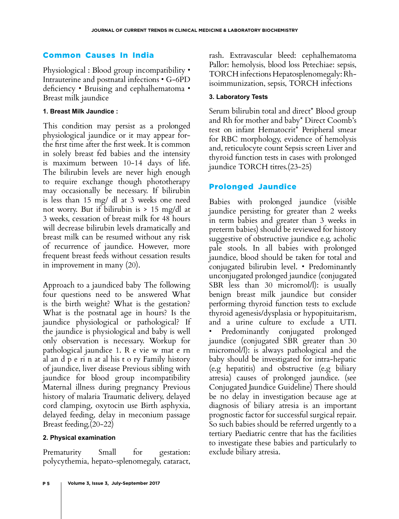## Common Causes In India

Physiological : Blood group incompatibility • Intrauterine and postnatal infections • G-6PD deficiency • Bruising and cephalhematoma • Breast milk jaundice

#### **1. Breast Milk Jaundice :**

This condition may persist as a prolonged physiological jaundice or it may appear forthe first time after the first week. It is common in solely breast fed babies and the intensity is maximum between 10-14 days of life. The bilirubin levels are never high enough to require exchange though phototherapy may occasionally be necessary. If bilirubin is less than 15 mg/ dl at 3 weeks one need not worry. But if bilirubin is > 15 mg/dl at 3 weeks, cessation of breast milk for 48 hours will decrease bilirubin levels dramatically and breast milk can be resumed without any risk of recurrence of jaundice. However, more frequent breast feeds without cessation results in improvement in many (20).

Approach to a jaundiced baby The following four questions need to be answered What is the birth weight? What is the gestation? What is the postnatal age in hours? Is the jaundice physiological or pathological? If the jaundice is physiological and baby is well only observation is necessary. Workup for pathological jaundice 1. R e vie w mat e rn al an d p e ri n at al his t o ry Family history of jaundice, liver disease Previous sibling with jaundice for blood group incompatibility Maternal illness during pregnancy Previous history of malaria Traumatic delivery, delayed cord clamping, oxytocin use Birth asphyxia, delayed feeding, delay in meconium passage Breast feeding.(20-22)

### **2. Physical examination**

Prematurity Small for gestation: polycythemia, hepato-splenomegaly, cataract, rash. Extravascular bleed: cephalhematoma Pallor: hemolysis, blood loss Petechiae: sepsis, TORCH infections Hepatosplenomegaly: Rhisoimmunization, sepsis, TORCH infections

## **3. Laboratory Tests**

Serum bilirubin total and direct\* Blood group and Rh for mother and baby\* Direct Coomb's test on infant Hematocrit\* Peripheral smear for RBC morphology, evidence of hemolysis and, reticulocyte count Sepsis screen Liver and thyroid function tests in cases with prolonged jaundice TORCH titres.(23-25)

## Prolonged Jaundice

Babies with prolonged jaundice (visible jaundice persisting for greater than 2 weeks in term babies and greater than 3 weeks in preterm babies) should be reviewed for history suggestive of obstructive jaundice e.g. acholic pale stools. In all babies with prolonged jaundice, blood should be taken for total and conjugated bilirubin level. • Predominantly unconjugated prolonged jaundice (conjugated SBR less than 30 micromol/l): is usually benign breast milk jaundice but consider performing thyroid function tests to exclude thyroid agenesis/dysplasia or hypopituitarism, and a urine culture to exclude a UTI. Predominantly conjugated prolonged jaundice (conjugated SBR greater than 30 micromol/l): is always pathological and the baby should be investigated for intra-hepatic (e.g hepatitis) and obstructive (e.g biliary atresia) causes of prolonged jaundice. (see Conjugated Jaundice Guideline) There should be no delay in investigation because age at diagnosis of biliary atresia is an important prognostic factor for successful surgical repair. So such babies should be referred urgently to a tertiary Paediatric centre that has the facilities to investigate these babies and particularly to exclude biliary atresia.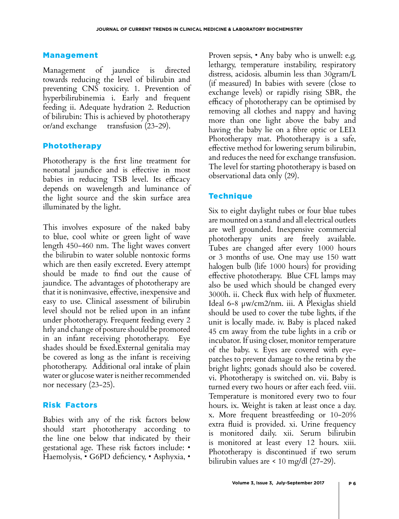#### Management

Management of jaundice is directed towards reducing the level of bilirubin and preventing CNS toxicity. 1. Prevention of hyperbilirubinemia i. Early and frequent feeding ii. Adequate hydration 2. Reduction of bilirubin: This is achieved by phototherapy or/and exchange transfusion (23-29).

### Phototherapy

Phototherapy is the first line treatment for neonatal jaundice and is effective in most babies in reducing TSB level. Its efficacy depends on wavelength and luminance of the light source and the skin surface area illuminated by the light.

This involves exposure of the naked baby to blue, cool white or green light of wave length 450-460 nm. The light waves convert the bilirubin to water soluble nontoxic forms which are then easily excreted. Every attempt should be made to find out the cause of jaundice. The advantages of phototherapy are that it is noninvasive, effective, inexpensive and easy to use. Clinical assessment of bilirubin level should not be relied upon in an infant under phototherapy. Frequent feeding every 2 hrly and change of posture should be promoted in an infant receiving phototherapy. Eye shades should be fixed.External genitalia may be covered as long as the infant is receiving phototherapy. Additional oral intake of plain water or glucose water is neither recommended nor necessary (23-25).

### Risk Factors

Babies with any of the risk factors below should start phototherapy according to the line one below that indicated by their gestational age. These risk factors include: • Haemolysis, • G6PD deficiency, • Asphyxia, •

Proven sepsis, • Any baby who is unwell: e.g. lethargy, temperature instability, respiratory distress, acidosis. albumin less than 30gram/L (if measured) In babies with severe (close to exchange levels) or rapidly rising SBR, the efficacy of phototherapy can be optimised by removing all clothes and nappy and having more than one light above the baby and having the baby lie on a fibre optic or LED. Phototherapy mat. Phototherapy is a safe, effective method for lowering serum bilirubin, and reduces the need for exchange transfusion. The level for starting phototherapy is based on observational data only (29).

# **Technique**

Six to eight daylight tubes or four blue tubes are mounted on a stand and all electrical outlets are well grounded. Inexpensive commercial phototherapy units are freely available. Tubes are changed after every 1000 hours or 3 months of use. One may use 150 watt halogen bulb (life 1000 hours) for providing effective phototherapy. Blue CFL lamps may also be used which should be changed every 3000h. ii. Check flux with help of fluxmeter. Ideal 6-8 µw/cm2/nm. iii. A Plexiglas shield should be used to cover the tube lights, if the unit is locally made. iv. Baby is placed naked 45 cm away from the tube lights in a crib or incubator. If using closer, monitor temperature of the baby. v. Eyes are covered with eyepatches to prevent damage to the retina by the bright lights; gonads should also be covered. vi. Phototherapy is switched on. vii. Baby is turned every two hours or after each feed. viii. Temperature is monitored every two to four hours. ix. Weight is taken at least once a day. x. More frequent breastfeeding or 10-20% extra fluid is provided. xi. Urine frequency is monitored daily. xii. Serum bilirubin is monitored at least every 12 hours. xiii. Phototherapy is discontinued if two serum bilirubin values are < 10 mg/dl (27-29).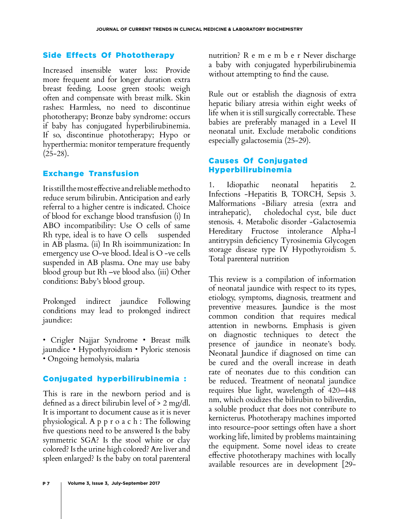## Side Effects Of Phototherapy

Increased insensible water loss: Provide more frequent and for longer duration extra breast feeding. Loose green stools: weigh often and compensate with breast milk. Skin rashes: Harmless, no need to discontinue phototherapy; Bronze baby syndrome: occurs if baby has conjugated hyperbilirubinemia. If so, discontinue phototherapy; Hypo or hyperthermia: monitor temperature frequently  $(25-28)$ .

# Exchange Transfusion

It is still the most effective and reliable method to reduce serum bilirubin. Anticipation and early referral to a higher centre is indicated. Choice of blood for exchange blood transfusion (i) In ABO incompatibility: Use O cells of same Rh type, ideal is to have O cells suspended in AB plasma. (ii) In Rh isoimmunization: In emergency use O-ve blood. Ideal is O -ve cells suspended in AB plasma. One may use baby blood group but Rh –ve blood also. (iii) Other conditions: Baby's blood group.

Prolonged indirect jaundice Following conditions may lead to prolonged indirect jaundice:

• Crigler Najjar Syndrome • Breast milk jaundice • Hypothyroidism • Pyloric stenosis • Ongoing hemolysis, malaria

# Conjugated hyperbilirubinemia :

This is rare in the newborn period and is defined as a direct bilirubin level of > 2 mg/dl. It is important to document cause as it is never physiological. A p p r o a c h : The following five questions need to be answered Is the baby symmetric SGA? Is the stool white or clay colored? Is the urine high colored? Are liver and spleen enlarged? Is the baby on total parenteral nutrition? R e m e m b e r Never discharge a baby with conjugated hyperbilirubinemia without attempting to find the cause.

Rule out or establish the diagnosis of extra hepatic biliary atresia within eight weeks of life when it is still surgically correctable. These babies are preferably managed in a Level II neonatal unit. Exclude metabolic conditions especially galactosemia (25-29).

## Causes Of Conjugated Hyperbilirubinemia

1. Idiopathic neonatal hepatitis 2. Infections -Hepatitis B, TORCH, Sepsis 3. Malformations -Biliary atresia (extra and intrahepatic), choledochal cyst, bile duct stenosis. 4. Metabolic disorder -Galactosemia Hereditary Fructose intolerance Alpha-l antitrypsin deficiency Tyrosinemia Glycogen storage disease type IV Hypothyroidism 5. Total parenteral nutrition

This review is a compilation of information of neonatal jaundice with respect to its types, etiology, symptoms, diagnosis, treatment and preventive measures. Jaundice is the most common condition that requires medical attention in newborns. Emphasis is given on diagnostic techniques to detect the presence of jaundice in neonate's body. Neonatal Jaundice if diagnosed on time can be cured and the overall increase in death rate of neonates due to this condition can be reduced. Treatment of neonatal jaundice requires blue light, wavelength of 420–448 nm, which oxidizes the bilirubin to biliverdin, a soluble product that does not contribute to kernicterus. Phototherapy machines imported into resource-poor settings often have a short working life, limited by problems maintaining the equipment. Some novel ideas to create effective phototherapy machines with locally available resources are in development [29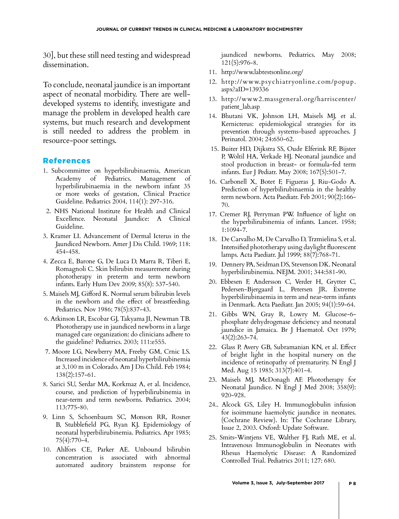30], but these still need testing and widespread dissemination.

To conclude, neonatal jaundice is an important aspect of neonatal morbidity. There are welldeveloped systems to identify, investigate and manage the problem in developed health care systems, but much research and development is still needed to address the problem in resource-poor settings.

### References

- 1. Subcommittee on hyperbilirubinaemia, American Academy of Pediatrics. Management of hyperbilirubinaemia in the newborn infant 35 or more weeks of gestation, Clinical Practice Guideline. Pediatrics 2004, 114(1): 297-316.
- 2. NHS National Institute for Health and Clinical Excellence. Neonatal Jaundice: A Clinical Guideline.
- 3. Kramer LI. Advancement of Dermal Icterus in the Jaundiced Newborn. Amer J Dis Child. 1969; 118: 454-458.
- 4. Zecca E, Barone G, De Luca D, Marra R, Tiberi E, Romagnoli C. Skin bilirubin measurement during phototherapy in preterm and term newborn infants. Early Hum Dev 2009; 85(8): 537-540.
- 5. Maisels MJ, Gifford K. Normal serum bilirubin levels in the newborn and the effect of breastfeeding. Pediatrics. Nov 1986; 78(5):837-43.
- 6. Atkinson LR, Escobar GJ, Takyama JI, Newman TB. Phototherapy use in jaundiced newborns in a large managed care organization: do clinicians adhere to the guideline? Pediatrics. 2003; 111:e555.
- 7. Moore LG, Newberry MA, Freeby GM, Crnic LS. Increased incidence of neonatal hyperbilirubinemia at 3,100 m in Colorado. Am J Dis Child. Feb 1984; 138(2):157-61.
- 8. Sarici SU, Serdar MA, Korkmaz A, et al. Incidence, course, and prediction of hyperbilirubinemia in near-term and term newborns. Pediatrics. 2004; 113:775-80.
- 9. Linn S, Schoenbaum SC, Monson RR, Rosner B, Stubblefield PG, Ryan KJ. Epidemiology of neonatal hyperbilirubinemia. Pediatrics. Apr 1985; 75(4):770-4.
- 10. Ahlfors CE, Parker AE. Unbound bilirubin concentration is associated with abnormal automated auditory brainstem response for

jaundiced newborns. Pediatrics. May 2008;  $121(5):976-8.$ 

- 11. http://www.labtestsonline.org/
- 12. http://www.psychiatryonline.com/popup. aspx?aID=139336
- 13. http://www2.massgeneral.org/harriscenter/ patient\_lab.asp
- 14. Bhutani VK, Johnson LH, Maisels MJ, et al. Kernicterus: epidemiological strategies for its prevention through systems-based approaches. J Perinatol. 2004; 24:650-62.
- 15. Buiter HD, Dijkstra SS, Oude Elferink RF, Bijster P, Woltil HA, Verkade HJ. Neonatal jaundice and stool production in breast- or formula-fed term infants. Eur J Pediatr. May 2008; 167(5):501-7.
- 16. Carbonell X, Botet F, Figueras J, Riu-Godo A. Prediction of hyperbilirubinaemia in the healthy term newborn. Acta Paediatr. Feb 2001; 90(2):166- 70.
- 17. Cremer RJ, Perryman PW. Influence of light on the hyperbilirubinemia of infants. Lancet. 1958; 1:1094-7.
- 18. De Carvalho M, De Carvalho D, Trzmielina S, et al. Intensified phototherapy using daylight fluorescent lamps. Acta Paediatr. Jul 1999; 88(7):768-71.
- 19. Dennery PA, Seidman DS, Stevenson DK. Neonatal hyperbilirubinemia. NEJM. 2001; 344:581-90.
- 20. Ebbesen F, Andersson C, Verder H, Grytter C, Pedersen-Bjergaard L, Petersen JR. Extreme hyperbilirubinaemia in term and near-term infants in Denmark. Acta Paediatr. Jan 2005; 94(1):59-64.
- 21. Gibbs WN, Gray R, Lowry M. Glucose-6 phosphate dehydrogenase deficiency and neonatal jaundice in Jamaica. Br J Haematol. Oct 1979; 43(2):263-74.
- 22. Glass P, Avery GB, Subramanian KN, et al. Effect of bright light in the hospital nursery on the incidence of retinopathy of prematurity. N Engl J Med. Aug 15 1985; 313(7):401-4.
- 23. Maisels MJ, McDonagh AF. Phototherapy for Neonatal Jaundice. N Engl J Med 2008; 358(9): 920-928.
- 24.. Alcock GS, Liley H. Immunoglobulin infusion for isoimmune haemolytic jaundice in neonates. (Cochrane Review). In: The Cochrane Library, Issue 2, 2003. Oxford: Update Software.
- 25. Smits-Wintjens VE, Walther FJ, Rath ME, et al. Intravenous Immunoglobulin in Neonates with Rhesus Haemolytic Disease: A Randomized Controlled Trial. Pediatrics 2011; 127: 680.